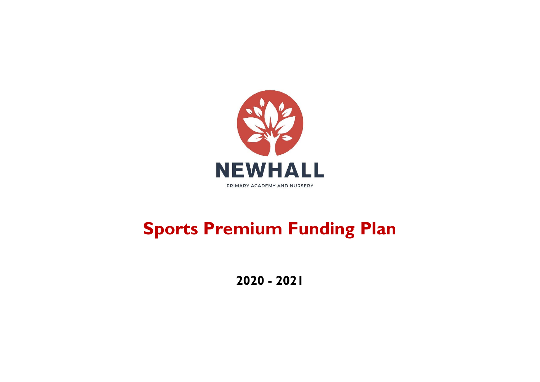

# **Sports Premium Funding Plan**

**2020 - 2021**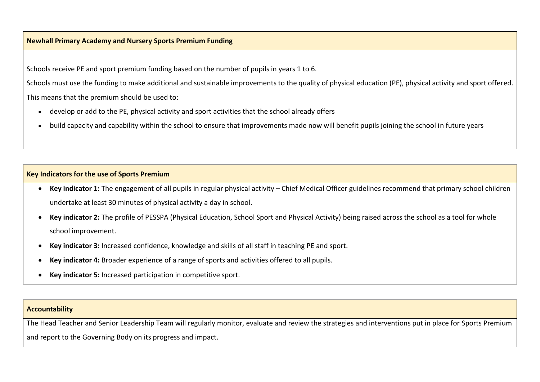#### **Newhall Primary Academy and Nursery Sports Premium Funding**

Schools receive PE and sport premium funding based on the number of pupils in years 1 to 6.

Schools must use the funding to make additional and sustainable improvements to the quality of physical education (PE), physical activity and sport offered.

This means that the premium should be used to:

- develop or add to the PE, physical activity and sport activities that the school already offers
- build capacity and capability within the school to ensure that improvements made now will benefit pupils joining the school in future years

### **Key Indicators for the use of Sports Premium**

- **Key indicator 1:** The engagement of all pupils in regular physical activity Chief Medical Officer guidelines recommend that primary school children undertake at least 30 minutes of physical activity a day in school.
- **Key indicator 2:** The profile of PESSPA (Physical Education, School Sport and Physical Activity) being raised across the school as a tool for whole school improvement.
- **Key indicator 3:** Increased confidence, knowledge and skills of all staff in teaching PE and sport.
- **Key indicator 4:** Broader experience of a range of sports and activities offered to all pupils.
- **Key indicator 5:** Increased participation in competitive sport.

#### **Accountability**

The Head Teacher and Senior Leadership Team will regularly monitor, evaluate and review the strategies and interventions put in place for Sports Premium and report to the Governing Body on its progress and impact.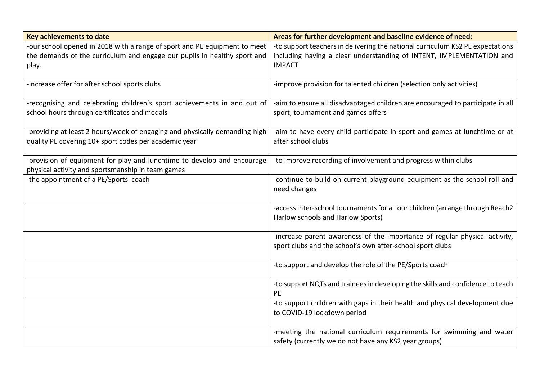| <b>Key achievements to date</b>                                                                                                                                | Areas for further development and baseline evidence of need:                                                                                                            |
|----------------------------------------------------------------------------------------------------------------------------------------------------------------|-------------------------------------------------------------------------------------------------------------------------------------------------------------------------|
| -our school opened in 2018 with a range of sport and PE equipment to meet<br>the demands of the curriculum and engage our pupils in healthy sport and<br>play. | -to support teachers in delivering the national curriculum KS2 PE expectations<br>including having a clear understanding of INTENT, IMPLEMENTATION and<br><b>IMPACT</b> |
| -increase offer for after school sports clubs                                                                                                                  | -improve provision for talented children (selection only activities)                                                                                                    |
| -recognising and celebrating children's sport achievements in and out of<br>school hours through certificates and medals                                       | -aim to ensure all disadvantaged children are encouraged to participate in all<br>sport, tournament and games offers                                                    |
| -providing at least 2 hours/week of engaging and physically demanding high<br>quality PE covering 10+ sport codes per academic year                            | -aim to have every child participate in sport and games at lunchtime or at<br>after school clubs                                                                        |
| -provision of equipment for play and lunchtime to develop and encourage<br>physical activity and sportsmanship in team games                                   | -to improve recording of involvement and progress within clubs                                                                                                          |
| the appointment of a PE/Sports coach                                                                                                                           | -continue to build on current playground equipment as the school roll and<br>need changes                                                                               |
|                                                                                                                                                                | -access inter-school tournaments for all our children (arrange through Reach2<br>Harlow schools and Harlow Sports)                                                      |
|                                                                                                                                                                | -increase parent awareness of the importance of regular physical activity,<br>sport clubs and the school's own after-school sport clubs                                 |
|                                                                                                                                                                | -to support and develop the role of the PE/Sports coach                                                                                                                 |
|                                                                                                                                                                | -to support NQTs and trainees in developing the skills and confidence to teach<br>PE                                                                                    |
|                                                                                                                                                                | -to support children with gaps in their health and physical development due<br>to COVID-19 lockdown period                                                              |
|                                                                                                                                                                | -meeting the national curriculum requirements for swimming and water<br>safety (currently we do not have any KS2 year groups)                                           |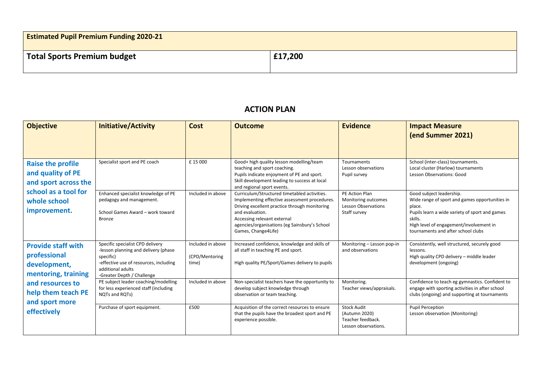| <b>Estimated Pupil Premium Funding 2020-21</b> |         |
|------------------------------------------------|---------|
| Total Sports Premium budget                    | £17,200 |

## **ACTION PLAN**

| <b>Objective</b>                                                                                                                                            | <b>Initiative/Activity</b>                                                                                                                                                         | <b>Cost</b>                                  | <b>Outcome</b>                                                                                                                                                                                                                                                           | <b>Evidence</b>                                                                     | <b>Impact Measure</b><br>(end Summer 2021)                                                                                                                                                                                         |
|-------------------------------------------------------------------------------------------------------------------------------------------------------------|------------------------------------------------------------------------------------------------------------------------------------------------------------------------------------|----------------------------------------------|--------------------------------------------------------------------------------------------------------------------------------------------------------------------------------------------------------------------------------------------------------------------------|-------------------------------------------------------------------------------------|------------------------------------------------------------------------------------------------------------------------------------------------------------------------------------------------------------------------------------|
| <b>Raise the profile</b><br>and quality of PE<br>and sport across the<br>school as a tool for<br>whole school<br>improvement.                               | Specialist sport and PE coach                                                                                                                                                      | £15000                                       | Good+ high quality lesson modelling/team<br>teaching and sport coaching.<br>Pupils indicate enjoyment of PE and sport.<br>Skill development leading to success at local<br>and regional sport events.                                                                    | Tournaments<br>Lesson observations<br>Pupil survey                                  | School (inter-class) tournaments.<br>Local cluster (Harlow) tournaments<br>Lesson Observations: Good                                                                                                                               |
|                                                                                                                                                             | Enhanced specialist knowledge of PE<br>pedagogy and management.<br>School Games Award - work toward<br><b>Bronze</b>                                                               | Included in above                            | Curriculum/Structured timetabled activities.<br>Implementing effective assessment procedures.<br>Driving excellent practice through monitoring<br>and evaluation.<br>Accessing relevant external<br>agencies/organisations (eg Sainsbury's School<br>Games, Change4Life) | PE Action Plan<br>Monitoring outcomes<br><b>Lesson Observations</b><br>Staff survey | Good subject leadership.<br>Wide range of sport and games opportunities in<br>place.<br>Pupils learn a wide variety of sport and games<br>skills.<br>High level of engagement/involvement in<br>tournaments and after school clubs |
| <b>Provide staff with</b><br>professional<br>development,<br>mentoring, training<br>and resources to<br>help them teach PE<br>and sport more<br>effectively | Specific specialist CPD delivery<br>-lesson planning and delivery (phase<br>specific)<br>-effective use of resources, including<br>additional adults<br>-Greater Depth / Challenge | Included in above<br>(CPD/Mentoring<br>time) | Increased confidence, knowledge and skills of<br>all staff in teaching PE and sport.<br>High quality PE/Sport/Games delivery to pupils                                                                                                                                   | Monitoring - Lesson pop-in<br>and observations                                      | Consistently, well structured, securely good<br>lessons.<br>High quality CPD delivery - middle leader<br>development (ongoing)                                                                                                     |
|                                                                                                                                                             | PE subject leader coaching/modelling<br>for less experienced staff (including<br>NQTs and RQTs)                                                                                    | Included in above                            | Non-specialist teachers have the opportunity to<br>develop subject knowledge through<br>observation or team teaching.                                                                                                                                                    | Monitoring.<br>Teacher views/appraisals.                                            | Confidence to teach eg gymnastics. Confident to<br>engage with sporting activities in after school<br>clubs (ongoing) and supporting at tournaments                                                                                |
|                                                                                                                                                             | Purchase of sport equipment.                                                                                                                                                       | £500                                         | Acquisition of the correct resources to ensure<br>that the pupils have the broadest sport and PE<br>experience possible.                                                                                                                                                 | <b>Stock Audit</b><br>(Autumn 2020)<br>Teacher feedback.<br>Lesson observations.    | <b>Pupil Perception</b><br>Lesson observation (Monitoring)                                                                                                                                                                         |